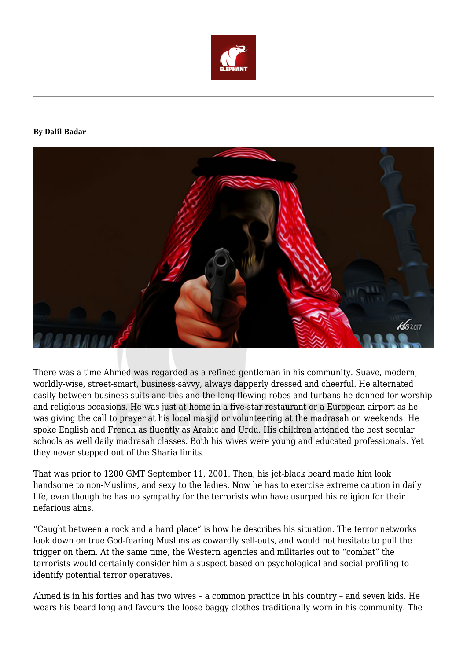

## **By Dalil Badar**



There was a time Ahmed was regarded as a refined gentleman in his community. Suave, modern, worldly-wise, street-smart, business-savvy, always dapperly dressed and cheerful. He alternated easily between business suits and ties and the long flowing robes and turbans he donned for worship and religious occasions. He was just at home in a five-star restaurant or a European airport as he was giving the call to prayer at his local masjid or volunteering at the madrasah on weekends. He spoke English and French as fluently as Arabic and Urdu. His children attended the best secular schools as well daily madrasah classes. Both his wives were young and educated professionals. Yet they never stepped out of the Sharia limits.

That was prior to 1200 GMT September 11, 2001. Then, his jet-black beard made him look handsome to non-Muslims, and sexy to the ladies. Now he has to exercise extreme caution in daily life, even though he has no sympathy for the terrorists who have usurped his religion for their nefarious aims.

"Caught between a rock and a hard place" is how he describes his situation. The terror networks look down on true God-fearing Muslims as cowardly sell-outs, and would not hesitate to pull the trigger on them. At the same time, the Western agencies and militaries out to "combat" the terrorists would certainly consider him a suspect based on psychological and social profiling to identify potential terror operatives.

Ahmed is in his forties and has two wives – a common practice in his country – and seven kids. He wears his beard long and favours the loose baggy clothes traditionally worn in his community. The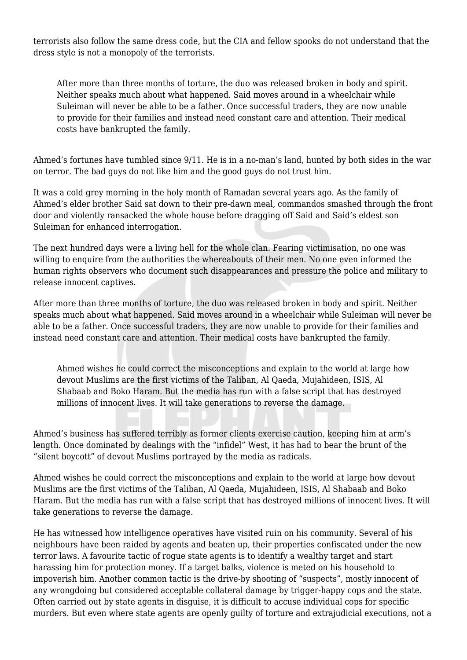terrorists also follow the same dress code, but the CIA and fellow spooks do not understand that the dress style is not a monopoly of the terrorists.

After more than three months of torture, the duo was released broken in body and spirit. Neither speaks much about what happened. Said moves around in a wheelchair while Suleiman will never be able to be a father. Once successful traders, they are now unable to provide for their families and instead need constant care and attention. Their medical costs have bankrupted the family.

Ahmed's fortunes have tumbled since 9/11. He is in a no-man's land, hunted by both sides in the war on terror. The bad guys do not like him and the good guys do not trust him.

It was a cold grey morning in the holy month of Ramadan several years ago. As the family of Ahmed's elder brother Said sat down to their pre-dawn meal, commandos smashed through the front door and violently ransacked the whole house before dragging off Said and Said's eldest son Suleiman for enhanced interrogation.

The next hundred days were a living hell for the whole clan. Fearing victimisation, no one was willing to enquire from the authorities the whereabouts of their men. No one even informed the human rights observers who document such disappearances and pressure the police and military to release innocent captives.

After more than three months of torture, the duo was released broken in body and spirit. Neither speaks much about what happened. Said moves around in a wheelchair while Suleiman will never be able to be a father. Once successful traders, they are now unable to provide for their families and instead need constant care and attention. Their medical costs have bankrupted the family.

Ahmed wishes he could correct the misconceptions and explain to the world at large how devout Muslims are the first victims of the Taliban, Al Qaeda, Mujahideen, ISIS, Al Shabaab and Boko Haram. But the media has run with a false script that has destroyed millions of innocent lives. It will take generations to reverse the damage.

Ahmed's business has suffered terribly as former clients exercise caution, keeping him at arm's length. Once dominated by dealings with the "infidel" West, it has had to bear the brunt of the "silent boycott" of devout Muslims portrayed by the media as radicals.

Ahmed wishes he could correct the misconceptions and explain to the world at large how devout Muslims are the first victims of the Taliban, Al Qaeda, Mujahideen, ISIS, Al Shabaab and Boko Haram. But the media has run with a false script that has destroyed millions of innocent lives. It will take generations to reverse the damage.

He has witnessed how intelligence operatives have visited ruin on his community. Several of his neighbours have been raided by agents and beaten up, their properties confiscated under the new terror laws. A favourite tactic of rogue state agents is to identify a wealthy target and start harassing him for protection money. If a target balks, violence is meted on his household to impoverish him. Another common tactic is the drive-by shooting of "suspects", mostly innocent of any wrongdoing but considered acceptable collateral damage by trigger-happy cops and the state. Often carried out by state agents in disguise, it is difficult to accuse individual cops for specific murders. But even where state agents are openly guilty of torture and extrajudicial executions, not a